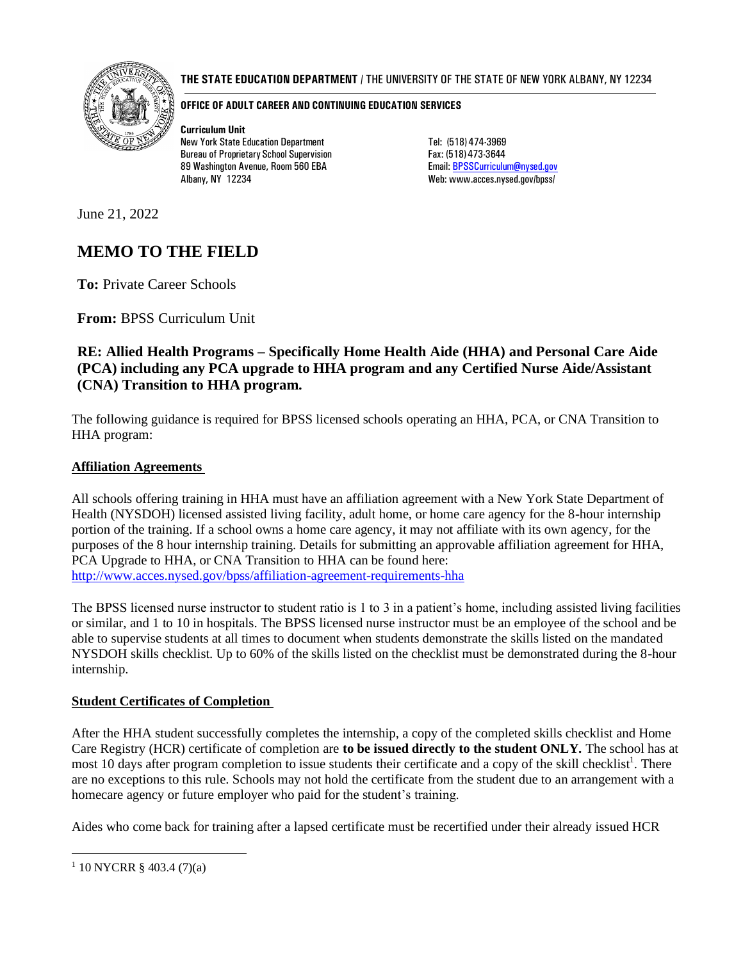

### **THE STATE EDUCATION DEPARTMENT** / THE UNIVERSITY OF THE STATE OF NEW YORK ALBANY, NY 12234

#### **OFFICE OF ADULT CAREER AND CONTINUING EDUCATION SERVICES**

**Curriculum Unit** New York State Education Department Tel: (518) 474-3969 Bureau of Proprietary School Supervision Fax: (518) 473-3644 89 Washington Avenue, Room 560 EBA Email: [BPSSCurriculum@nysed.gov](mailto:BPSSCurriculum@nysed.gov) Albany, NY 12234 Metal and Metal Web: [www.acces.nysed.gov/bpss/](http://www.acces.nysed.gov/bpss/)

June 21, 2022

# **MEMO TO THE FIELD**

**To:** Private Career Schools

**From:** BPSS Curriculum Unit

# **RE: Allied Health Programs – Specifically Home Health Aide (HHA) and Personal Care Aide (PCA) including any PCA upgrade to HHA program and any Certified Nurse Aide/Assistant (CNA) Transition to HHA program.**

The following guidance is required for BPSS licensed schools operating an HHA, PCA, or CNA Transition to HHA program:

# **Affiliation Agreements**

All schools offering training in HHA must have an affiliation agreement with a New York State Department of Health (NYSDOH) licensed assisted living facility, adult home, or home care agency for the 8-hour internship portion of the training. If a school owns a home care agency, it may not affiliate with its own agency, for the purposes of the 8 hour internship training. Details for submitting an approvable affiliation agreement for HHA, PCA Upgrade to HHA, or CNA Transition to HHA can be found here: <http://www.acces.nysed.gov/bpss/affiliation-agreement-requirements-hha>

The BPSS licensed nurse instructor to student ratio is 1 to 3 in a patient's home, including assisted living facilities or similar, and 1 to 10 in hospitals. The BPSS licensed nurse instructor must be an employee of the school and be able to supervise students at all times to document when students demonstrate the skills listed on the mandated NYSDOH skills checklist. Up to 60% of the skills listed on the checklist must be demonstrated during the 8-hour internship.

# **Student Certificates of Completion**

After the HHA student successfully completes the internship, a copy of the completed skills checklist and Home Care Registry (HCR) certificate of completion are **to be issued directly to the student ONLY.** The school has at most 10 days after program completion to issue students their certificate and a copy of the skill checklist<sup>1</sup>. There are no exceptions to this rule. Schools may not hold the certificate from the student due to an arrangement with a homecare agency or future employer who paid for the student's training.

Aides who come back for training after a lapsed certificate must be recertified under their already issued HCR

 $1$  10 NYCRR § 403.4 (7)(a)